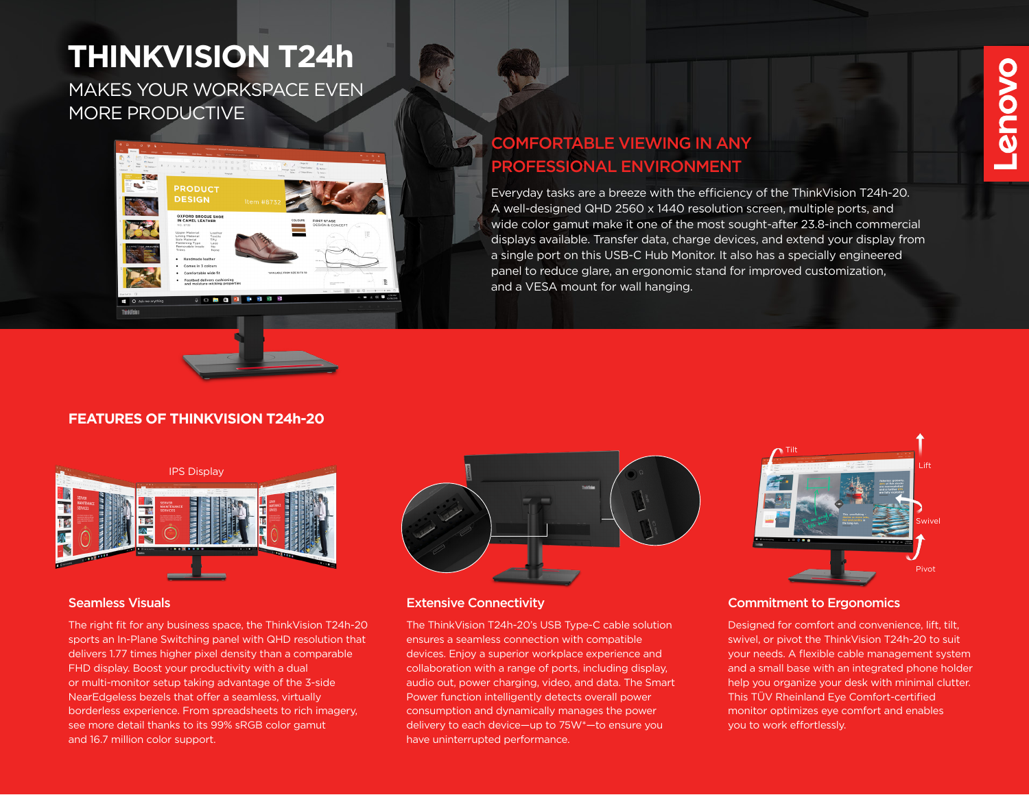# **THINKVISION T24h**

MAKES YOUR WORKSPACE EVEN MORE PRODUCTIVE





## COMFORTABLE VIEWING IN ANY PROFESSIONAL ENVIRONMENT

Everyday tasks are a breeze with the efficiency of the ThinkVision T24h-20. A well-designed QHD 2560 x 1440 resolution screen, multiple ports, and wide color gamut make it one of the most sought-after 23.8-inch commercial displays available. Transfer data, charge devices, and extend your display from a single port on this USB-C Hub Monitor. It also has a specially engineered panel to reduce glare, an ergonomic stand for improved customization, and a VESA mount for wall hanging.

#### **FEATURES OF THINKVISION T24h-20**



The right fit for any business space, the ThinkVision T24h-20 sports an In-Plane Switching panel with QHD resolution that delivers 1.77 times higher pixel density than a comparable FHD display. Boost your productivity with a dual or multi-monitor setup taking advantage of the 3-side NearEdgeless bezels that offer a seamless, virtually borderless experience. From spreadsheets to rich imagery, see more detail thanks to its 99% sRGB color gamut and 16.7 million color support.



#### Seamless Visuals Extensive Connectivity

The ThinkVision T24h-20's USB Type-C cable solution ensures a seamless connection with compatible devices. Enjoy a superior workplace experience and collaboration with a range of ports, including display, audio out, power charging, video, and data. The Smart Power function intelligently detects overall power consumption and dynamically manages the power delivery to each device—up to 75W\*—to ensure you have uninterrupted performance.



#### Commitment to Ergonomics

Designed for comfort and convenience, lift, tilt, swivel, or pivot the ThinkVision T24h-20 to suit your needs. A flexible cable management system and a small base with an integrated phone holder help you organize your desk with minimal clutter. This TÜV Rheinland Eye Comfort-certified monitor optimizes eye comfort and enables you to work effortlessly.